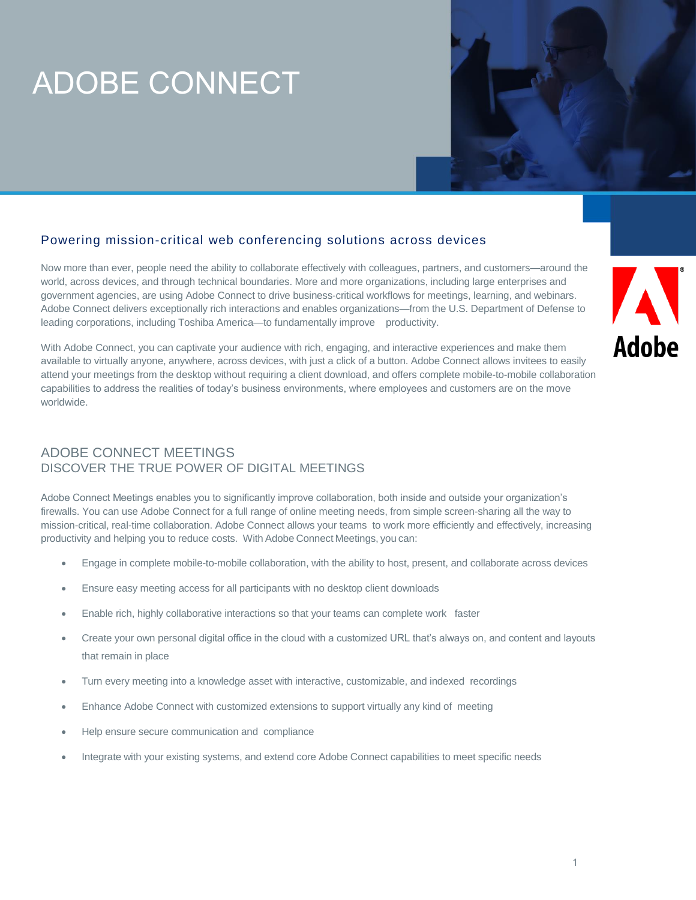# ADOBE CONNECT

### Powering mission-critical web conferencing solutions across devices

Now more than ever, people need the ability to collaborate effectively with colleagues, partners, and customers—around the world, across devices, and through technical boundaries. More and more organizations, including large enterprises and government agencies, are using Adobe Connect to drive business-critical workflows for meetings, learning, and webinars. Adobe Connect delivers exceptionally rich interactions and enables organizations—from the U.S. Department of Defense to leading corporations, including Toshiba America—to fundamentally improve productivity.

With Adobe Connect, you can captivate your audience with rich, engaging, and interactive experiences and make them available to virtually anyone, anywhere, across devices, with just a click of a button. Adobe Connect allows invitees to easily attend your meetings from the desktop without requiring a client download, and offers complete mobile-to-mobile collaboration capabilities to address the realities of today's business environments, where employees and customers are on the move worldwide.



### ADOBE CONNECT MEETINGS DISCOVER THE TRUE POWER OF DIGITAL MEETINGS

Adobe Connect Meetings enables you to significantly improve collaboration, both inside and outside your organization's firewalls. You can use Adobe Connect for a full range of online meeting needs, from simple screen-sharing all the way to mission-critical, real-time collaboration. Adobe Connect allows your teams to work more efficiently and effectively, increasing productivity and helping you to reduce costs. With Adobe Connect Meetings, you can:

- Engage in complete mobile-to-mobile collaboration, with the ability to host, present, and collaborate across devices
- Ensure easy meeting access for all participants with no desktop client downloads
- Enable rich, highly collaborative interactions so that your teams can complete work faster
- Create your own personal digital office in the cloud with a customized URL that's always on, and content and layouts that remain in place
- Turn every meeting into a knowledge asset with interactive, customizable, and indexed recordings
- Enhance Adobe Connect with customized extensions to support virtually any kind of meeting
- Help ensure secure communication and compliance
- Integrate with your existing systems, and extend core Adobe Connect capabilities to meet specific needs